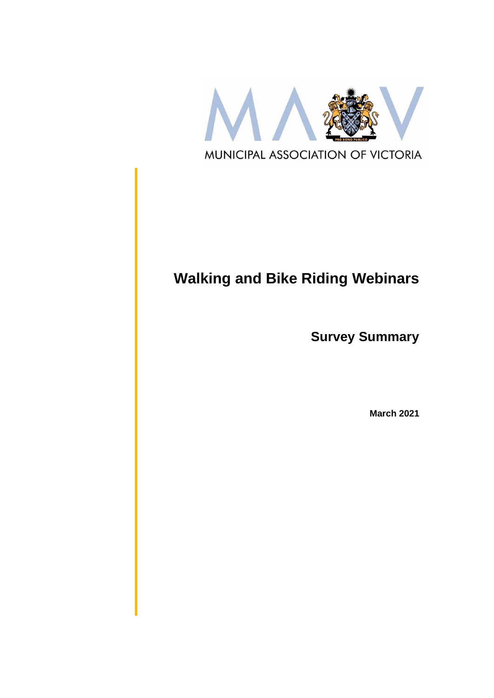

# **Walking and Bike Riding Webinars**

**Survey Summary**

**March 2021**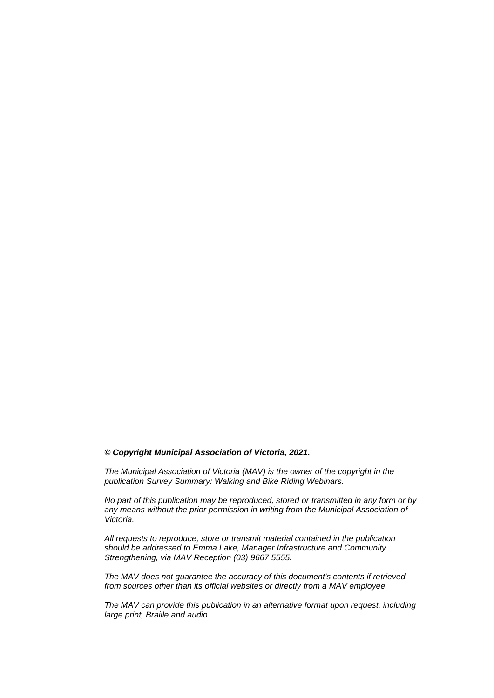#### *© Copyright Municipal Association of Victoria, 2021.*

*The Municipal Association of Victoria (MAV) is the owner of the copyright in the publication Survey Summary: Walking and Bike Riding Webinars.* 

*No part of this publication may be reproduced, stored or transmitted in any form or by any means without the prior permission in writing from the Municipal Association of Victoria.* 

*All requests to reproduce, store or transmit material contained in the publication should be addressed to Emma Lake, Manager Infrastructure and Community Strengthening, via MAV Reception (03) 9667 5555.*

*The MAV does not guarantee the accuracy of this document's contents if retrieved from sources other than its official websites or directly from a MAV employee.*

*The MAV can provide this publication in an alternative format upon request, including large print, Braille and audio.*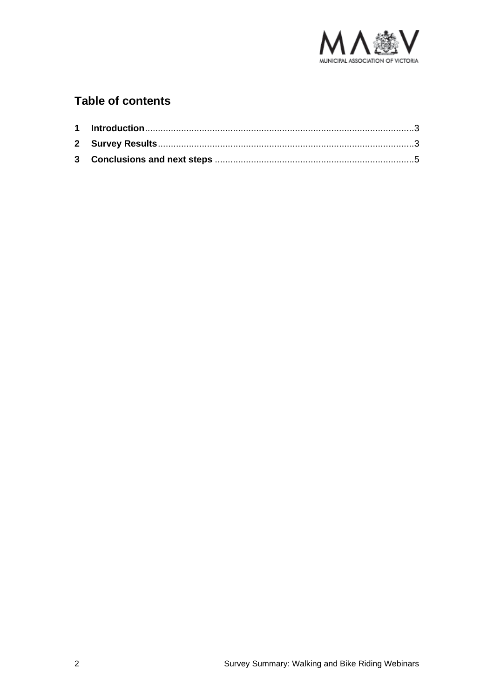

## **Table of contents**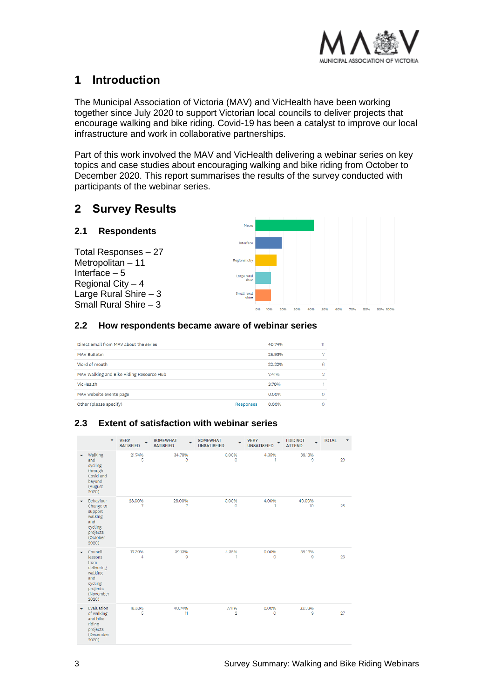

## <span id="page-3-0"></span>**1 Introduction**

The Municipal Association of Victoria (MAV) and VicHealth have been working together since July 2020 to support Victorian local councils to deliver projects that encourage walking and bike riding. Covid-19 has been a catalyst to improve our local infrastructure and work in collaborative partnerships.

Part of this work involved the MAV and VicHealth delivering a webinar series on key topics and case studies about encouraging walking and bike riding from October to December 2020. This report summarises the results of the survey conducted with participants of the webinar series.

## <span id="page-3-1"></span>**2 Survey Results**

#### **2.1 Respondents**

Total Responses – 27 Metropolitan – 11 Interface – 5 Regional City – 4 Large Rural Shire – 3 Small Rural Shire  $-3$ 



#### **2.2 How respondents became aware of webinar series**

| Direct email from MAV about the series   |           | 40.74%   | 11 |
|------------------------------------------|-----------|----------|----|
| <b>MAV Bulletin</b>                      |           | 25.93%   | m  |
| Word of mouth                            |           | 22.22%   | 6  |
| MAV Walking and Bike Riding Resource Hub |           | 7.41%    | 2  |
| VicHealth                                |           | 3.70%    |    |
| MAV website events page                  |           | $0.00\%$ |    |
| Other (please specify)                   | Responses | 0.00%    |    |

#### **2.3 Extent of satisfaction with webinar series**

|   | ٠                                                                                                       | <b>VERY</b><br><b>SATISFIED</b> | <b>SOMEWHAT</b><br>L.<br><b>SATISFIED</b> | <b>SOMEWHAT</b><br><b>UNSATISFIED</b> | <b>VERY</b><br><b>UNSATISFIED</b> | <b>I DID NOT</b><br><b>ATTEND</b> | <b>TOTAL</b> |
|---|---------------------------------------------------------------------------------------------------------|---------------------------------|-------------------------------------------|---------------------------------------|-----------------------------------|-----------------------------------|--------------|
| ۰ | Walking<br>and<br>cycling<br>through<br>Covid and<br>beyond<br>(August<br>2020)                         | 21.74%<br>5                     | 34,78%<br>8                               | 0.00%<br>$\Omega$                     | 4.35%<br>1                        | 39.13%<br>9                       | 23           |
|   | Behaviour<br>Change to<br>support<br>walking<br>and<br>cycling<br>projects<br>(October<br>2020)         | 28.00%<br>7                     | 28.00%<br>7                               | 0.00%<br>$\circ$                      | 4.00%<br>1.                       | 40.00%<br>10 <sup>°</sup>         | 25           |
|   | Council<br>lessons<br>from<br>delivering<br>walking<br>and<br>cycling<br>projects<br>(November<br>2020) | 17.39%<br>4                     | 39.13%<br>9                               | 4.35%<br>1                            | 0.00%<br>$\circ$                  | 39.13%<br>9                       | 23           |
|   | Evaluation<br>of walking<br>and bike<br>riding<br>projects<br>(December<br>2020)                        | 18.52%<br>5                     | 40.74%<br>11                              | 7.41%<br>$\overline{2}$               | 0.00%<br>$\circ$                  | 33.33%<br>9                       | 27           |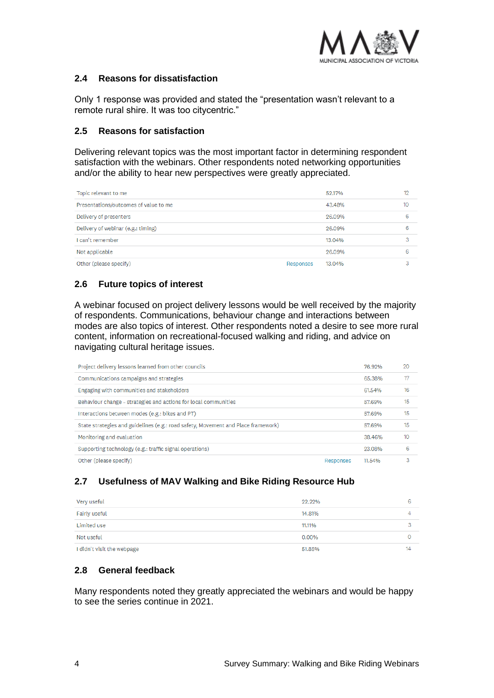

#### **2.4 Reasons for dissatisfaction**

Only 1 response was provided and stated the "presentation wasn't relevant to a remote rural shire. It was too citycentric."

#### **2.5 Reasons for satisfaction**

Delivering relevant topics was the most important factor in determining respondent satisfaction with the webinars. Other respondents noted networking opportunities and/or the ability to hear new perspectives were greatly appreciated.

| Topic relevant to me                  |           | 52.17% | 12 |
|---------------------------------------|-----------|--------|----|
| Presentations/outcomes of value to me |           | 43,48% | 10 |
| Delivery of presenters                |           | 26.09% | 6  |
| Delivery of webinar (e.g.: timing)    |           | 26.09% | 6  |
| I can't remember                      |           | 13.04% | 3  |
| Not applicable                        |           | 26.09% | 6  |
| Other (please specify)                | Responses | 13.04% |    |

### **2.6 Future topics of interest**

A webinar focused on project delivery lessons would be well received by the majority of respondents. Communications, behaviour change and interactions between modes are also topics of interest. Other respondents noted a desire to see more rural content, information on recreational-focused walking and riding, and advice on navigating cultural heritage issues.

| Project delivery lessons learned from other councils                              |           | 76.92% | 20 |
|-----------------------------------------------------------------------------------|-----------|--------|----|
| Communications campaigns and strategies                                           |           | 65.38% | 17 |
| Engaging with communities and stakeholders                                        |           | 61.54% | 16 |
| Behaviour change – strategies and actions for local communities                   |           | 57.69% | 15 |
| Interactions between modes (e.g.: bikes and PT)                                   |           | 57.69% | 15 |
| State strategies and guidelines (e.g.: road safety, Movement and Place framework) |           | 57.69% | 15 |
| Monitoring and evaluation                                                         |           | 38.46% | 10 |
| Supporting technology (e.g.: traffic signal operations)                           |           | 23.08% | 6  |
| Other (please specify)                                                            | Responses | 11.54% | 3  |

#### **2.7 Usefulness of MAV Walking and Bike Riding Resource Hub**

| Very useful                | 22.22% | 6  |
|----------------------------|--------|----|
| Fairly useful              | 14,81% |    |
| Limited use                | 11.11% |    |
| Not useful                 | 0.00%  |    |
| I didn't visit the webpage | 51.85% | 14 |

#### **2.8 General feedback**

Many respondents noted they greatly appreciated the webinars and would be happy to see the series continue in 2021.